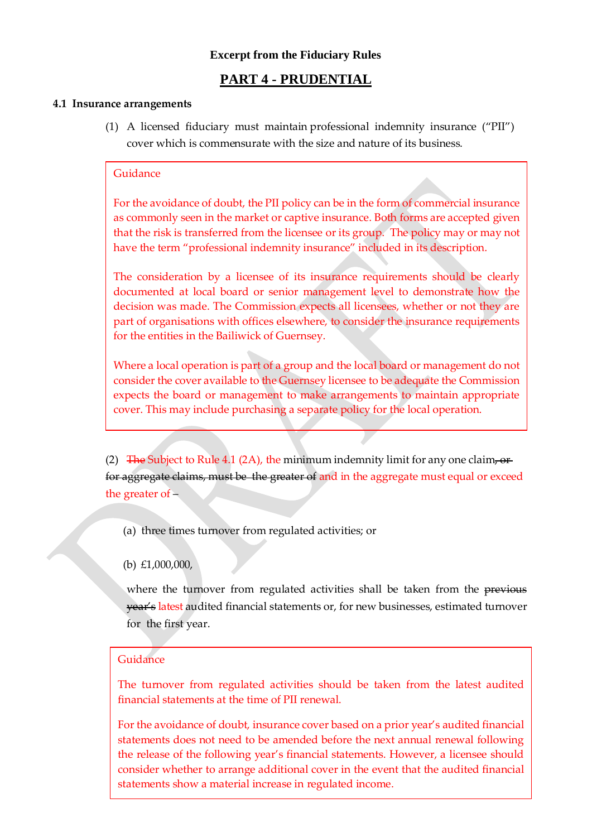# **Excerpt from the Fiduciary Rules**

# **PART 4 - PRUDENTIAL**

#### **4.1 Insurance arrangements**

(1) A licensed fiduciary must maintain professional indemnity insurance ("PII") cover which is commensurate with the size and nature of its business.

## Guidance

For the avoidance of doubt, the PII policy can be in the form of commercial insurance as commonly seen in the market or captive insurance. Both forms are accepted given that the risk is transferred from the licensee or its group. The policy may or may not have the term "professional indemnity insurance" included in its description.

The consideration by a licensee of its insurance requirements should be clearly documented at local board or senior management level to demonstrate how the decision was made. The Commission expects all licensees, whether or not they are part of organisations with offices elsewhere, to consider the insurance requirements for the entities in the Bailiwick of Guernsey.

Where a local operation is part of a group and the local board or management do not consider the cover available to the Guernsey licensee to be adequate the Commission expects the board or management to make arrangements to maintain appropriate cover. This may include purchasing a separate policy for the local operation.

(2) The Subject to Rule 4.1 (2A), the minimum indemnity limit for any one claim, or for aggregate claims, must be the greater of and in the aggregate must equal or exceed the greater of –

(a) three times turnover from regulated activities; or

(b) £1,000,000,

where the turnover from regulated activities shall be taken from the previous year's latest audited financial statements or, for new businesses, estimated turnover for the first year.

## Guidance

The turnover from regulated activities should be taken from the latest audited financial statements at the time of PII renewal.

For the avoidance of doubt, insurance cover based on a prior year's audited financial statements does not need to be amended before the next annual renewal following the release of the following year's financial statements. However, a licensee should consider whether to arrange additional cover in the event that the audited financial statements show a material increase in regulated income.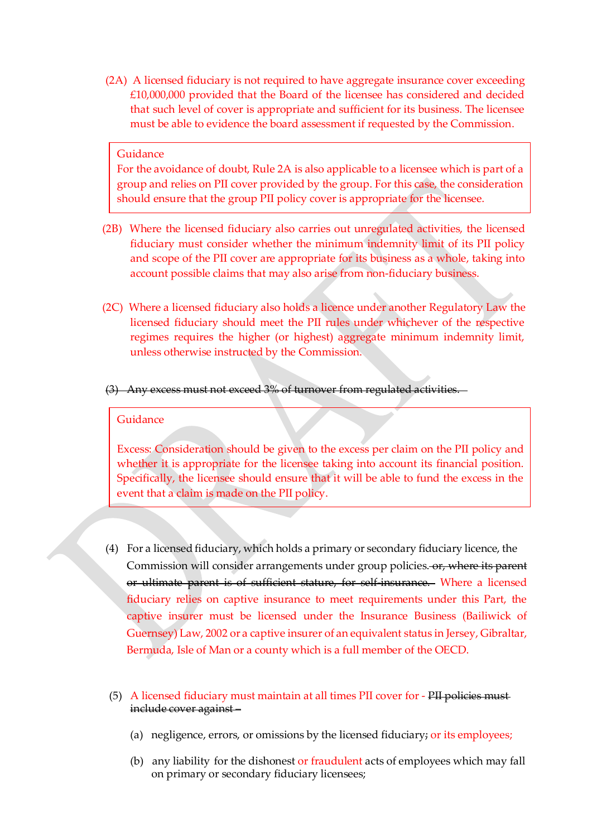(2A) A licensed fiduciary is not required to have aggregate insurance cover exceeding £10,000,000 provided that the Board of the licensee has considered and decided that such level of cover is appropriate and sufficient for its business. The licensee must be able to evidence the board assessment if requested by the Commission.

#### Guidance

For the avoidance of doubt, Rule 2A is also applicable to a licensee which is part of a group and relies on PII cover provided by the group. For this case, the consideration should ensure that the group PII policy cover is appropriate for the licensee.

- (2B) Where the licensed fiduciary also carries out unregulated activities, the licensed fiduciary must consider whether the minimum indemnity limit of its PII policy and scope of the PII cover are appropriate for its business as a whole, taking into account possible claims that may also arise from non-fiduciary business.
- (2C) Where a licensed fiduciary also holds a licence under another Regulatory Law the licensed fiduciary should meet the PII rules under whichever of the respective regimes requires the higher (or highest) aggregate minimum indemnity limit, unless otherwise instructed by the Commission.
- (3) Any excess must not exceed 3% of turnover from regulated activities.

#### Guidance

Excess: Consideration should be given to the excess per claim on the PII policy and whether it is appropriate for the licensee taking into account its financial position. Specifically, the licensee should ensure that it will be able to fund the excess in the event that a claim is made on the PII policy.

- (4) For a licensed fiduciary, which holds a primary or secondary fiduciary licence, the Commission will consider arrangements under group policies. or, where its parent or ultimate parent is of sufficient stature, for self-insurance. Where a licensed fiduciary relies on captive insurance to meet requirements under this Part, the captive insurer must be licensed under the Insurance Business (Bailiwick of Guernsey) Law, 2002 or a captive insurer of an equivalent status in Jersey, Gibraltar, Bermuda, Isle of Man or a county which is a full member of the OECD.
- (5) A licensed fiduciary must maintain at all times PII cover for PII policies must include cover against –
	- (a) negligence, errors, or omissions by the licensed fiduciary; or its employees;
	- (b) any liability for the dishonest or fraudulent acts of employees which may fall on primary or secondary fiduciary licensees;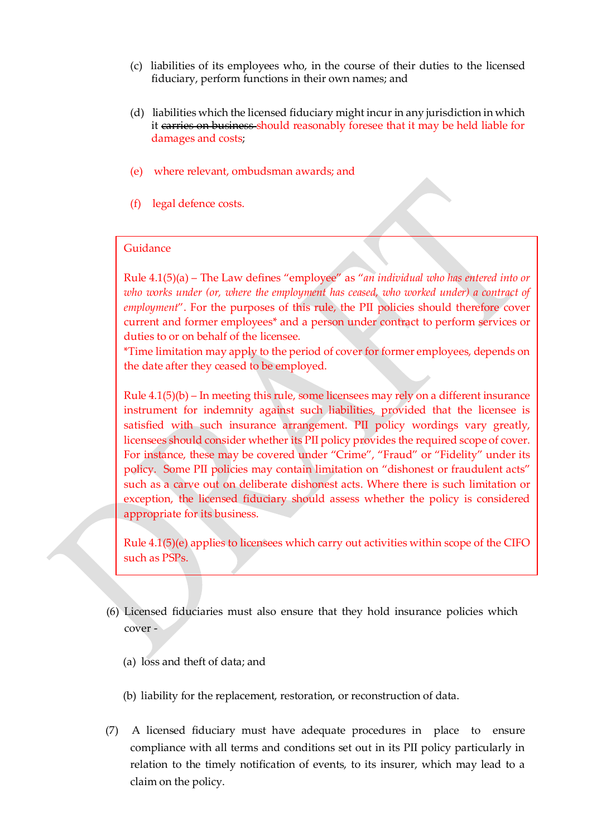- (c) liabilities of its employees who, in the course of their duties to the licensed fiduciary, perform functions in their own names; and
- (d) liabilities which the licensed fiduciary might incur in any jurisdiction in which it carries on business should reasonably foresee that it may be held liable for damages and costs;
- (e) where relevant, ombudsman awards; and
- (f) legal defence costs.

### Guidance

Rule 4.1(5)(a) – The Law defines "employee" as "*an individual who has entered into or who works under (or, where the employment has ceased, who worked under) a contract of employment*". For the purposes of this rule, the PII policies should therefore cover current and former employees\* and a person under contract to perform services or duties to or on behalf of the licensee.

\*Time limitation may apply to the period of cover for former employees, depends on the date after they ceased to be employed.

Rule 4.1(5)(b) – In meeting this rule, some licensees may rely on a different insurance instrument for indemnity against such liabilities, provided that the licensee is satisfied with such insurance arrangement. PII policy wordings vary greatly, licensees should consider whether its PII policy provides the required scope of cover. For instance, these may be covered under "Crime", "Fraud" or "Fidelity" under its policy. Some PII policies may contain limitation on "dishonest or fraudulent acts" such as a carve out on deliberate dishonest acts. Where there is such limitation or exception, the licensed fiduciary should assess whether the policy is considered appropriate for its business.

Rule 4.1(5)(e) applies to licensees which carry out activities within scope of the CIFO such as PSPs.

- (6) Licensed fiduciaries must also ensure that they hold insurance policies which cover -
	- (a) loss and theft of data; and
	- (b) liability for the replacement, restoration, or reconstruction of data.
- (7) A licensed fiduciary must have adequate procedures in place to ensure compliance with all terms and conditions set out in its PII policy particularly in relation to the timely notification of events, to its insurer, which may lead to a claim on the policy.